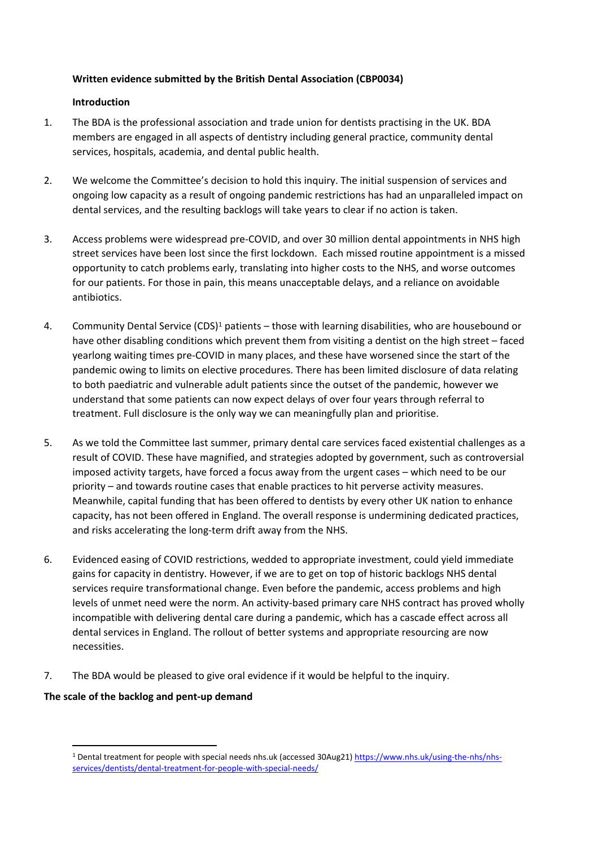# **Written evidence submitted by the British Dental Association (CBP0034)**

### **Introduction**

- 1. The BDA is the professional association and trade union for dentists practising in the UK. BDA members are engaged in all aspects of dentistry including general practice, community dental services, hospitals, academia, and dental public health.
- 2. We welcome the Committee's decision to hold this inquiry. The initial suspension of services and ongoing low capacity as a result of ongoing pandemic restrictions has had an unparalleled impact on dental services, and the resulting backlogs will take years to clear if no action is taken.
- 3. Access problems were widespread pre-COVID, and over 30 million dental appointments in NHS high street services have been lost since the first lockdown. Each missed routine appointment is a missed opportunity to catch problems early, translating into higher costs to the NHS, and worse outcomes for our patients. For those in pain, this means unacceptable delays, and a reliance on avoidable antibiotics.
- 4. Community Dental Service (CDS)<sup>1</sup> patients those with learning disabilities, who are housebound or have other disabling conditions which prevent them from visiting a dentist on the high street – faced yearlong waiting times pre-COVID in many places, and these have worsened since the start of the pandemic owing to limits on elective procedures. There has been limited disclosure of data relating to both paediatric and vulnerable adult patients since the outset of the pandemic, however we understand that some patients can now expect delays of over four years through referral to treatment. Full disclosure is the only way we can meaningfully plan and prioritise.
- 5. As we told the Committee last summer, primary dental care services faced existential challenges as a result of COVID. These have magnified, and strategies adopted by government, such as controversial imposed activity targets, have forced a focus away from the urgent cases – which need to be our priority – and towards routine cases that enable practices to hit perverse activity measures. Meanwhile, capital funding that has been offered to dentists by every other UK nation to enhance capacity, has not been offered in England. The overall response is undermining dedicated practices, and risks accelerating the long-term drift away from the NHS.
- 6. Evidenced easing of COVID restrictions, wedded to appropriate investment, could yield immediate gains for capacity in dentistry. However, if we are to get on top of historic backlogs NHS dental services require transformational change. Even before the pandemic, access problems and high levels of unmet need were the norm. An activity-based primary care NHS contract has proved wholly incompatible with delivering dental care during a pandemic, which has a cascade effect across all dental services in England. The rollout of better systems and appropriate resourcing are now necessities.
- 7. The BDA would be pleased to give oral evidence if it would be helpful to the inquiry.

# **The scale of the backlog and pent-up demand**

<sup>&</sup>lt;sup>1</sup> Dental treatment for people with special needs nhs.uk (accessed 30Aug21) [https://www.nhs.uk/using-the-nhs/nhs](https://www.nhs.uk/using-the-nhs/nhs-services/dentists/dental-treatment-for-people-with-special-needs/)[services/dentists/dental-treatment-for-people-with-special-needs/](https://www.nhs.uk/using-the-nhs/nhs-services/dentists/dental-treatment-for-people-with-special-needs/)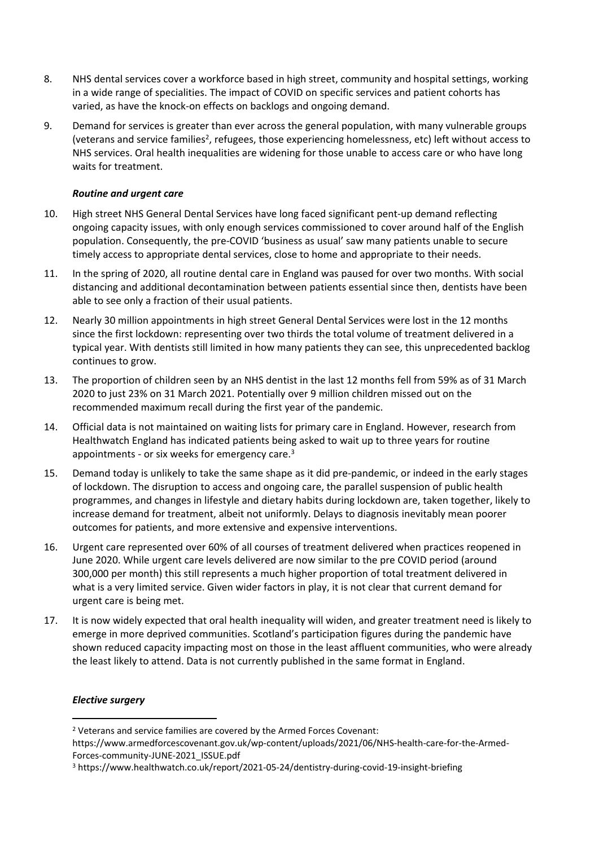- 8. NHS dental services cover a workforce based in high street, community and hospital settings, working in a wide range of specialities. The impact of COVID on specific services and patient cohorts has varied, as have the knock-on effects on backlogs and ongoing demand.
- 9. Demand for services is greater than ever across the general population, with many vulnerable groups (veterans and service families<sup>2</sup>, refugees, those experiencing homelessness, etc) left without access to NHS services. Oral health inequalities are widening for those unable to access care or who have long waits for treatment.

### *Routine and urgent care*

- 10. High street NHS General Dental Services have long faced significant pent-up demand reflecting ongoing capacity issues, with only enough services commissioned to cover around half of the English population. Consequently, the pre-COVID 'business as usual' saw many patients unable to secure timely access to appropriate dental services, close to home and appropriate to their needs.
- 11. In the spring of 2020, all routine dental care in England was paused for over two months. With social distancing and additional decontamination between patients essential since then, dentists have been able to see only a fraction of their usual patients.
- 12. Nearly 30 million appointments in high street General Dental Services were lost in the 12 months since the first lockdown: representing over two thirds the total volume of treatment delivered in a typical year. With dentists still limited in how many patients they can see, this unprecedented backlog continues to grow.
- 13. The proportion of children seen by an NHS dentist in the last 12 months fell from 59% as of 31 March 2020 to just 23% on 31 March 2021. Potentially over 9 million children missed out on the recommended maximum recall during the first year of the pandemic.
- 14. Official data is not maintained on waiting lists for primary care in England. However, research from Healthwatch England has indicated patients being asked to wait up to three years for routine appointments - or six weeks for emergency care.<sup>3</sup>
- 15. Demand today is unlikely to take the same shape as it did pre-pandemic, or indeed in the early stages of lockdown. The disruption to access and ongoing care, the parallel suspension of public health programmes, and changes in lifestyle and dietary habits during lockdown are, taken together, likely to increase demand for treatment, albeit not uniformly. Delays to diagnosis inevitably mean poorer outcomes for patients, and more extensive and expensive interventions.
- 16. Urgent care represented over 60% of all courses of treatment delivered when practices reopened in June 2020. While urgent care levels delivered are now similar to the pre COVID period (around 300,000 per month) this still represents a much higher proportion of total treatment delivered in what is a very limited service. Given wider factors in play, it is not clear that current demand for urgent care is being met.
- 17. It is now widely expected that oral health inequality will widen, and greater treatment need is likely to emerge in more deprived communities. Scotland's participation figures during the pandemic have shown reduced capacity impacting most on those in the least affluent communities, who were already the least likely to attend. Data is not currently published in the same format in England.

## *Elective surgery*

<sup>2</sup> Veterans and service families are covered by the Armed Forces Covenant:

https://www.armedforcescovenant.gov.uk/wp-content/uploads/2021/06/NHS-health-care-for-the-Armed-Forces-community-JUNE-2021\_ISSUE.pdf

<sup>3</sup> https://www.healthwatch.co.uk/report/2021-05-24/dentistry-during-covid-19-insight-briefing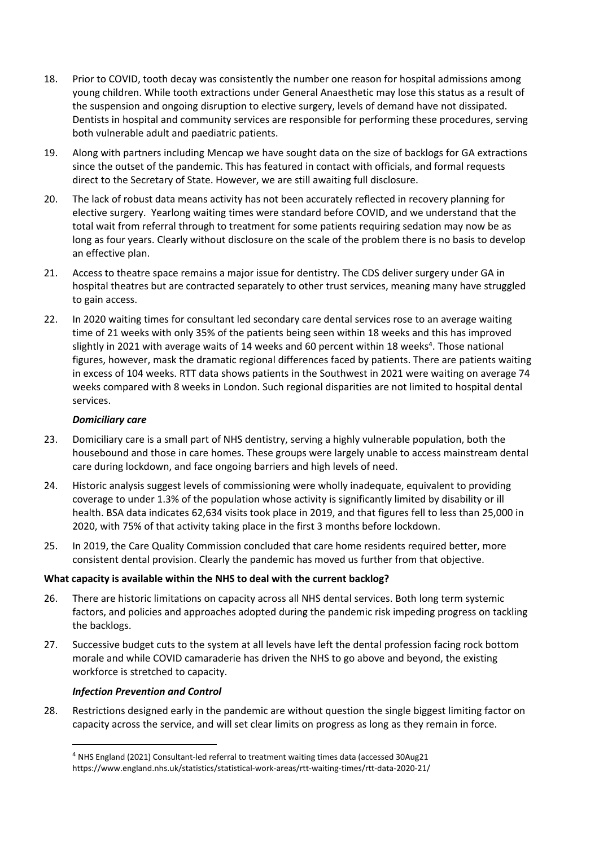- 18. Prior to COVID, tooth decay was consistently the number one reason for hospital admissions among young children. While tooth extractions under General Anaesthetic may lose this status as a result of the suspension and ongoing disruption to elective surgery, levels of demand have not dissipated. Dentists in hospital and community services are responsible for performing these procedures, serving both vulnerable adult and paediatric patients.
- 19. Along with partners including Mencap we have sought data on the size of backlogs for GA extractions since the outset of the pandemic. This has featured in contact with officials, and formal requests direct to the Secretary of State. However, we are still awaiting full disclosure.
- 20. The lack of robust data means activity has not been accurately reflected in recovery planning for elective surgery. Yearlong waiting times were standard before COVID, and we understand that the total wait from referral through to treatment for some patients requiring sedation may now be as long as four years. Clearly without disclosure on the scale of the problem there is no basis to develop an effective plan.
- 21. Access to theatre space remains a major issue for dentistry. The CDS deliver surgery under GA in hospital theatres but are contracted separately to other trust services, meaning many have struggled to gain access.
- 22. In 2020 waiting times for consultant led secondary care dental services rose to an average waiting time of 21 weeks with only 35% of the patients being seen within 18 weeks and this has improved slightly in 2021 with average waits of 14 weeks and 60 percent within 18 weeks<sup>4</sup>. Those national figures, however, mask the dramatic regional differences faced by patients. There are patients waiting in excess of 104 weeks. RTT data shows patients in the Southwest in 2021 were waiting on average 74 weeks compared with 8 weeks in London. Such regional disparities are not limited to hospital dental services.

### *Domiciliary care*

- 23. Domiciliary care is a small part of NHS dentistry, serving a highly vulnerable population, both the housebound and those in care homes. These groups were largely unable to access mainstream dental care during lockdown, and face ongoing barriers and high levels of need.
- 24. Historic analysis suggest levels of commissioning were wholly inadequate, equivalent to providing coverage to under 1.3% of the population whose activity is significantly limited by disability or ill health. BSA data indicates 62,634 visits took place in 2019, and that figures fell to less than 25,000 in 2020, with 75% of that activity taking place in the first 3 months before lockdown.
- 25. In 2019, the Care Quality Commission concluded that care home residents required better, more consistent dental provision. Clearly the pandemic has moved us further from that objective.

#### **What capacity is available within the NHS to deal with the current backlog?**

- 26. There are historic limitations on capacity across all NHS dental services. Both long term systemic factors, and policies and approaches adopted during the pandemic risk impeding progress on tackling the backlogs.
- 27. Successive budget cuts to the system at all levels have left the dental profession facing rock bottom morale and while COVID camaraderie has driven the NHS to go above and beyond, the existing workforce is stretched to capacity.

#### *Infection Prevention and Control*

28. Restrictions designed early in the pandemic are without question the single biggest limiting factor on capacity across the service, and will set clear limits on progress as long as they remain in force.

<sup>4</sup> NHS England (2021) Consultant-led referral to treatment waiting times data (accessed 30Aug21 https://www.england.nhs.uk/statistics/statistical-work-areas/rtt-waiting-times/rtt-data-2020-21/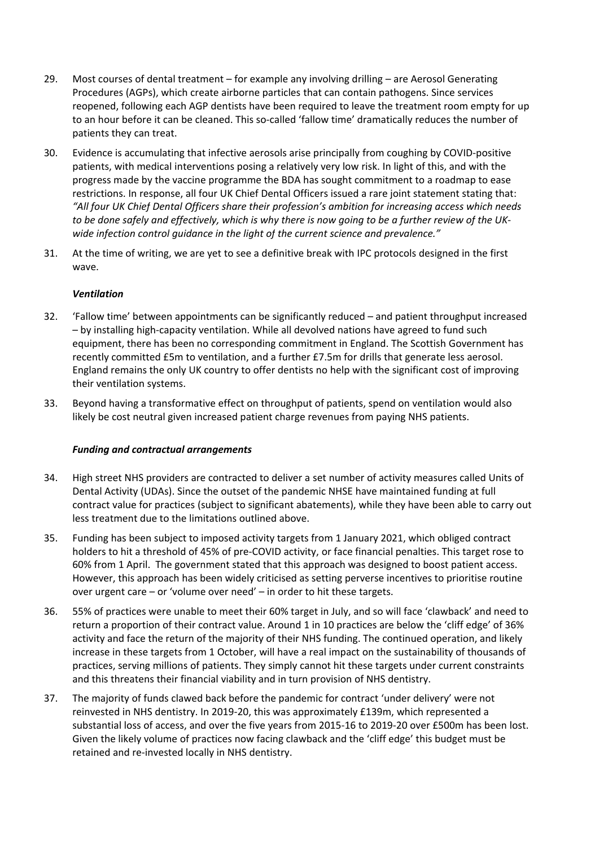- 29. Most courses of dental treatment for example any involving drilling are Aerosol Generating Procedures (AGPs), which create airborne particles that can contain pathogens. Since services reopened, following each AGP dentists have been required to leave the treatment room empty for up to an hour before it can be cleaned. This so-called 'fallow time' dramatically reduces the number of patients they can treat.
- 30. Evidence is accumulating that infective aerosols arise principally from coughing by COVID-positive patients, with medical interventions posing a relatively very low risk. In light of this, and with the progress made by the vaccine programme the BDA has sought commitment to a roadmap to ease restrictions. In response, all four UK Chief Dental Officers issued a rare joint statement stating that: *"All four UK Chief Dental Officers share their profession's ambition for increasing access which needs* to be done safely and effectively, which is why there is now going to be a further review of the UK*wide infection control guidance in the light of the current science and prevalence."*
- 31. At the time of writing, we are yet to see a definitive break with IPC protocols designed in the first wave.

### *Ventilation*

- 32. 'Fallow time' between appointments can be significantly reduced and patient throughput increased – by installing high-capacity ventilation. While all devolved nations have agreed to fund such equipment, there has been no corresponding commitment in England. The Scottish Government has recently committed £5m to ventilation, and a further £7.5m for drills that generate less aerosol. England remains the only UK country to offer dentists no help with the significant cost of improving their ventilation systems.
- 33. Beyond having a transformative effect on throughput of patients, spend on ventilation would also likely be cost neutral given increased patient charge revenues from paying NHS patients.

#### *Funding and contractual arrangements*

- 34. High street NHS providers are contracted to deliver a set number of activity measures called Units of Dental Activity (UDAs). Since the outset of the pandemic NHSE have maintained funding at full contract value for practices (subject to significant abatements), while they have been able to carry out less treatment due to the limitations outlined above.
- 35. Funding has been subject to imposed activity targets from 1 January 2021, which obliged contract holders to hit a threshold of 45% of pre-COVID activity, or face financial penalties. This target rose to 60% from 1 April. The government stated that this approach was designed to boost patient access. However, this approach has been widely criticised as setting perverse incentives to prioritise routine over urgent care – or 'volume over need' – in order to hit these targets.
- 36. 55% of practices were unable to meet their 60% target in July, and so will face 'clawback' and need to return a proportion of their contract value. Around 1 in 10 practices are below the 'cliff edge' of 36% activity and face the return of the majority of their NHS funding. The continued operation, and likely increase in these targets from 1 October, will have a real impact on the sustainability of thousands of practices, serving millions of patients. They simply cannot hit these targets under current constraints and this threatens their financial viability and in turn provision of NHS dentistry.
- 37. The majority of funds clawed back before the pandemic for contract 'under delivery' were not reinvested in NHS dentistry. In 2019-20, this was approximately £139m, which represented a substantial loss of access, and over the five years from 2015-16 to 2019-20 over £500m has been lost. Given the likely volume of practices now facing clawback and the 'cliff edge' this budget must be retained and re-invested locally in NHS dentistry.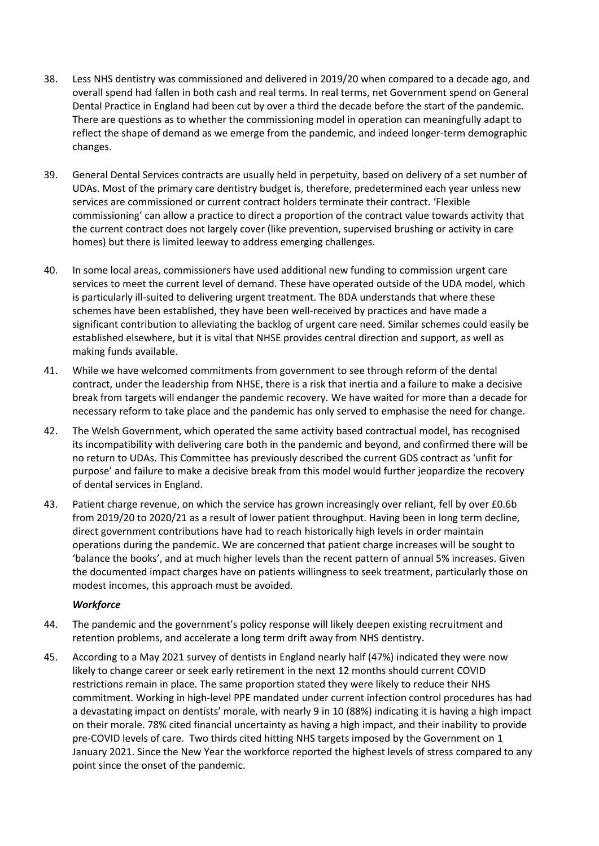- 38. Less NHS dentistry was commissioned and delivered in 2019/20 when compared to a decade ago, and overall spend had fallen in both cash and real terms. In real terms, net Government spend on General Dental Practice in England had been cut by over a third the decade before the start of the pandemic. There are questions as to whether the commissioning model in operation can meaningfully adapt to reflect the shape of demand as we emerge from the pandemic, and indeed longer-term demographic changes.
- 39. General Dental Services contracts are usually held in perpetuity, based on delivery of a set number of UDAs. Most of the primary care dentistry budget is, therefore, predetermined each year unless new services are commissioned or current contract holders terminate their contract. 'Flexible commissioning' can allow a practice to direct a proportion of the contract value towards activity that the current contract does not largely cover (like prevention, supervised brushing or activity in care homes) but there is limited leeway to address emerging challenges.
- 40. In some local areas, commissioners have used additional new funding to commission urgent care services to meet the current level of demand. These have operated outside of the UDA model, which is particularly ill-suited to delivering urgent treatment. The BDA understands that where these schemes have been established, they have been well-received by practices and have made a significant contribution to alleviating the backlog of urgent care need. Similar schemes could easily be established elsewhere, but it is vital that NHSE provides central direction and support, as well as making funds available.
- 41. While we have welcomed commitments from government to see through reform of the dental contract, under the leadership from NHSE, there is a risk that inertia and a failure to make a decisive break from targets will endanger the pandemic recovery. We have waited for more than a decade for necessary reform to take place and the pandemic has only served to emphasise the need for change.
- 42. The Welsh Government, which operated the same activity based contractual model, has recognised its incompatibility with delivering care both in the pandemic and beyond, and confirmed there will be no return to UDAs. This Committee has previously described the current GDS contract as 'unfit for purpose' and failure to make a decisive break from this model would further jeopardize the recovery of dental services in England.
- 43. Patient charge revenue, on which the service has grown increasingly over reliant, fell by over £0.6b from 2019/20 to 2020/21 as a result of lower patient throughput. Having been in long term decline, direct government contributions have had to reach historically high levels in order maintain operations during the pandemic. We are concerned that patient charge increases will be sought to 'balance the books', and at much higher levels than the recent pattern of annual 5% increases. Given the documented impact charges have on patients willingness to seek treatment, particularly those on modest incomes, this approach must be avoided.

# *Workforce*

- 44. The pandemic and the government's policy response will likely deepen existing recruitment and retention problems, and accelerate a long term drift away from NHS dentistry.
- 45. According to a May 2021 survey of dentists in England nearly half (47%) indicated they were now likely to change career or seek early retirement in the next 12 months should current COVID restrictions remain in place. The same proportion stated they were likely to reduce their NHS commitment. Working in high-level PPE mandated under current infection control procedures has had a devastating impact on dentists' morale, with nearly 9 in 10 (88%) indicating it is having a high impact on their morale. 78% cited financial uncertainty as having a high impact, and their inability to provide pre-COVID levels of care. Two thirds cited hitting NHS targets imposed by the Government on 1 January 2021. Since the New Year the workforce reported the highest levels of stress compared to any point since the onset of the pandemic.